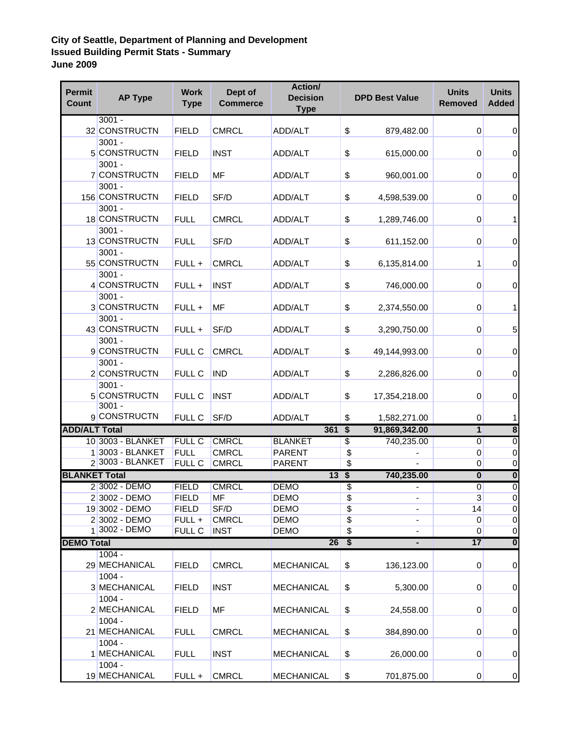## **City of Seattle, Department of Planning and Development Issued Building Permit Stats - Summary June 2009**

| <b>Permit</b><br><b>Count</b> | <b>AP Type</b>                       | <b>Work</b><br><b>Type</b> | Dept of<br><b>Commerce</b> | <b>Action/</b><br><b>Decision</b><br><b>Type</b> |                 | <b>DPD Best Value</b>    | <b>Units</b><br><b>Removed</b> | <b>Units</b><br><b>Added</b> |
|-------------------------------|--------------------------------------|----------------------------|----------------------------|--------------------------------------------------|-----------------|--------------------------|--------------------------------|------------------------------|
|                               | $3001 -$<br>32 CONSTRUCTN            | <b>FIELD</b>               | <b>CMRCL</b>               | ADD/ALT                                          | \$              | 879,482.00               | 0                              | 0                            |
|                               | $3001 -$<br>5 CONSTRUCTN             | <b>FIELD</b>               | <b>INST</b>                | <b>ADD/ALT</b>                                   | \$              | 615,000.00               | 0                              | 0                            |
|                               | $3001 -$<br>7 CONSTRUCTN             | <b>FIELD</b>               | MF                         | ADD/ALT                                          | \$              | 960,001.00               | 0                              | 0                            |
|                               | $3001 -$<br>156 CONSTRUCTN           | <b>FIELD</b>               | SF/D                       | ADD/ALT                                          | \$              | 4,598,539.00             | 0                              | 0                            |
|                               | $3001 -$<br>18 CONSTRUCTN            | <b>FULL</b>                | <b>CMRCL</b>               | ADD/ALT                                          | \$              | 1,289,746.00             | 0                              | 1                            |
|                               | $3001 -$<br>13 CONSTRUCTN            | <b>FULL</b>                | SF/D                       | ADD/ALT                                          | \$              | 611,152.00               | 0                              | 0                            |
|                               | $3001 -$<br>55 CONSTRUCTN            | FULL +                     | <b>CMRCL</b>               | ADD/ALT                                          | \$              | 6,135,814.00             | 1                              | 0                            |
|                               | $3001 -$<br>4 CONSTRUCTN             | FULL +                     | <b>INST</b>                | ADD/ALT                                          | \$              | 746,000.00               | 0                              | 0                            |
|                               | $3001 -$<br>3 CONSTRUCTN             | FULL +                     | <b>MF</b>                  | ADD/ALT                                          | \$              | 2,374,550.00             | 0                              | 1                            |
|                               | $3001 -$<br>43 CONSTRUCTN            | FULL +                     | SF/D                       | ADD/ALT                                          | \$              | 3,290,750.00             | 0                              | 5                            |
|                               | $3001 -$<br>9 CONSTRUCTN             | <b>FULL C</b>              | <b>CMRCL</b>               | ADD/ALT                                          | \$              | 49,144,993.00            | 0                              | 0                            |
|                               | $3001 -$<br>2 CONSTRUCTN             | <b>FULL C</b>              | <b>IND</b>                 | ADD/ALT                                          | \$              | 2,286,826.00             | 0                              | 0                            |
|                               | $3001 -$<br>5 CONSTRUCTN<br>$3001 -$ | FULL C                     | <b>INST</b>                | ADD/ALT                                          | \$              | 17,354,218.00            | 0                              | 0                            |
|                               | 9 CONSTRUCTN                         | <b>FULL C</b>              | SF/D                       | ADD/ALT                                          | \$              | 1,582,271.00             | 0                              | 1                            |
| <b>ADD/ALT Total</b>          |                                      |                            |                            | 361S                                             |                 | 91,869,342.00            | 1                              | $\overline{\mathbf{8}}$      |
|                               | 10 3003 - BLANKET                    | <b>FULL C</b>              | <b>CMRCL</b>               | <b>BLANKET</b>                                   | \$              | 740,235.00               | $\overline{0}$                 | $\overline{0}$               |
|                               | 1 3003 - BLANKET                     | <b>FULL</b>                | <b>CMRCL</b>               | <b>PARENT</b>                                    | \$              |                          | 0                              | $\pmb{0}$                    |
|                               | 2 3003 - BLANKET                     | <b>FULL C</b>              | <b>CMRCL</b>               | <b>PARENT</b>                                    | $\overline{\$}$ |                          | 0                              | $\pmb{0}$                    |
| <b>BLANKET Total</b>          |                                      |                            |                            | 13                                               | $\overline{\$}$ | 740,235.00               | $\bf{0}$                       | $\overline{\mathbf{0}}$      |
|                               | 2 3002 - DEMO                        | <b>FIELD</b>               | <b>CMRCL</b>               | <b>DEMO</b>                                      | \$              |                          | $\overline{0}$                 | $\overline{0}$               |
|                               | 2 3002 - DEMO                        | <b>FIELD</b>               | <b>MF</b>                  | <b>DEMO</b>                                      | $\overline{\$}$ |                          | $\ensuremath{\mathsf{3}}$      | $\overline{0}$               |
|                               | 19 3002 - DEMO                       | <b>FIELD</b>               | SF/D                       | <b>DEMO</b>                                      | \$              | $\overline{\phantom{a}}$ | 14                             | $\overline{0}$               |
|                               | 2 3002 - DEMO                        | FULL +                     | <b>CMRCL</b>               | <b>DEMO</b>                                      | $\overline{\$}$ | $\overline{\phantom{a}}$ | 0                              | $\pmb{0}$                    |
|                               | 1 3002 - DEMO                        | <b>FULL C</b>              | <b>INST</b>                | <b>DEMO</b>                                      | $\overline{\$}$ | $\overline{\phantom{a}}$ | $\overline{0}$                 | $\overline{0}$               |
| <b>DEMO Total</b>             |                                      |                            |                            | 26                                               | $\overline{\$}$ | ٠                        | 17                             | $\overline{\mathbf{0}}$      |
|                               | $1004 -$<br>29 MECHANICAL            | <b>FIELD</b>               | <b>CMRCL</b>               | <b>MECHANICAL</b>                                | \$              | 136,123.00               | $\overline{0}$                 | $\pmb{0}$                    |
|                               | $1004 -$<br>3 MECHANICAL             | <b>FIELD</b>               | <b>INST</b>                | <b>MECHANICAL</b>                                | \$              | 5,300.00                 | $\overline{0}$                 | 0                            |
|                               | $1004 -$<br>2 MECHANICAL             | <b>FIELD</b>               | MF                         | <b>MECHANICAL</b>                                | \$              | 24,558.00                | 0                              | 0                            |
|                               | $1004 -$<br>21 MECHANICAL            | <b>FULL</b>                | <b>CMRCL</b>               | <b>MECHANICAL</b>                                | \$              | 384,890.00               | 0                              | 0                            |
|                               | $1004 -$<br>1 MECHANICAL             | <b>FULL</b>                | <b>INST</b>                | <b>MECHANICAL</b>                                | \$              | 26,000.00                | 0                              | 0                            |
|                               | $1004 -$<br>19 MECHANICAL            | FULL+                      | <b>CMRCL</b>               | <b>MECHANICAL</b>                                | \$              | 701,875.00               | $\overline{0}$                 | $\pmb{0}$                    |